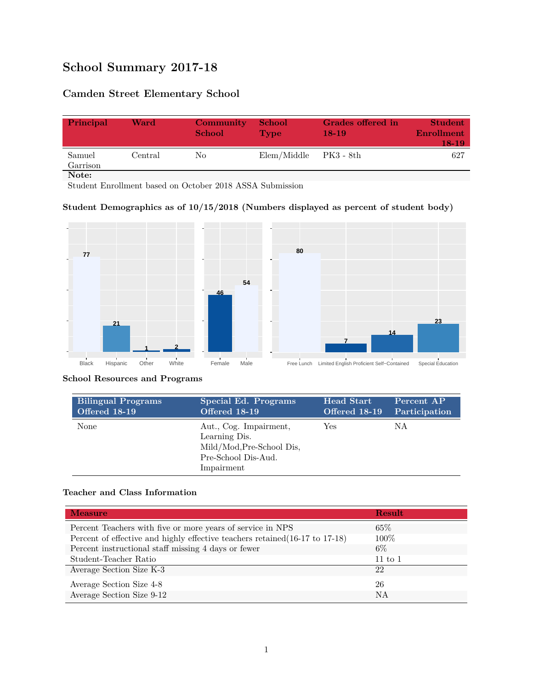# **School Summary 2017-18**

# **Camden Street Elementary School**

| Principal          | Ward    | Community<br><b>School</b> | <b>School</b><br><b>Type</b> | Grades offered in<br>$18-19$ | <b>Student</b><br>Enrollment<br>18-19 |
|--------------------|---------|----------------------------|------------------------------|------------------------------|---------------------------------------|
| Samuel<br>Garrison | Central | No                         | Elem/Middle                  | - PK3 - 8th                  | 627                                   |
| Note:              |         |                            |                              |                              |                                       |

Student Enrollment based on October 2018 ASSA Submission

### **Student Demographics as of 10/15/2018 (Numbers displayed as percent of student body)**



#### **School Resources and Programs**

| <b>Bilingual Programs</b> | Special Ed. Programs                                                                                      | <b>Head Start</b> | Percent AP    |
|---------------------------|-----------------------------------------------------------------------------------------------------------|-------------------|---------------|
| <b>Offered 18-19</b>      | Offered 18-19                                                                                             | Offered 18-19     | Participation |
| None                      | Aut., Cog. Impairment,<br>Learning Dis.<br>Mild/Mod, Pre-School Dis,<br>Pre-School Dis-Aud.<br>Impairment | Yes               | ΝA            |

### **Teacher and Class Information**

| <b>Measure</b>                                                               | <b>Result</b> |
|------------------------------------------------------------------------------|---------------|
| Percent Teachers with five or more years of service in NPS                   | $65\%$        |
| Percent of effective and highly effective teachers retained (16-17 to 17-18) | $100\%$       |
| Percent instructional staff missing 4 days or fewer                          | $6\%$         |
| Student-Teacher Ratio                                                        | $11$ to $1$   |
| Average Section Size K-3                                                     | 22            |
| Average Section Size 4-8                                                     | 26            |
| Average Section Size 9-12                                                    | NA            |